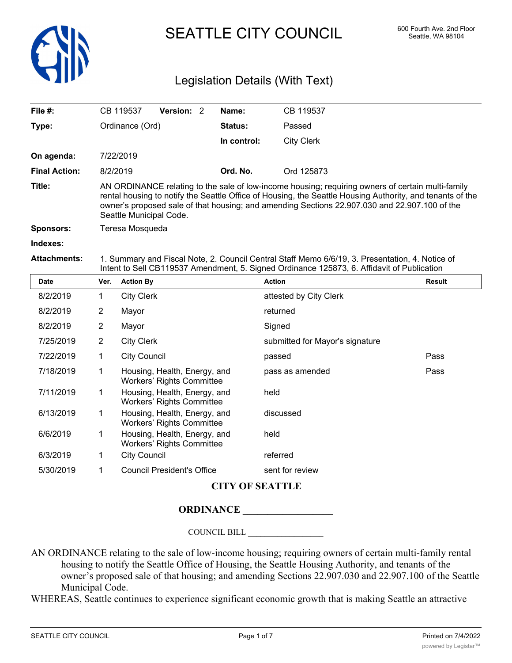

SEATTLE CITY COUNCIL 600 Fourth Ave. 2nd Floor

# Legislation Details (With Text)

| File #:              | <b>Version: 2</b><br>CB 119537                                                                                                                                                                                                                                                                                                             | Name:          | CB 119537         |  |  |
|----------------------|--------------------------------------------------------------------------------------------------------------------------------------------------------------------------------------------------------------------------------------------------------------------------------------------------------------------------------------------|----------------|-------------------|--|--|
| Type:                | Ordinance (Ord)                                                                                                                                                                                                                                                                                                                            | <b>Status:</b> | Passed            |  |  |
|                      |                                                                                                                                                                                                                                                                                                                                            | In control:    | <b>City Clerk</b> |  |  |
| On agenda:           | 7/22/2019                                                                                                                                                                                                                                                                                                                                  |                |                   |  |  |
| <b>Final Action:</b> | 8/2/2019                                                                                                                                                                                                                                                                                                                                   | Ord. No.       | Ord 125873        |  |  |
| Title:               | AN ORDINANCE relating to the sale of low-income housing; requiring owners of certain multi-family<br>rental housing to notify the Seattle Office of Housing, the Seattle Housing Authority, and tenants of the<br>owner's proposed sale of that housing; and amending Sections 22.907.030 and 22.907.100 of the<br>Seattle Municipal Code. |                |                   |  |  |
| <b>Sponsors:</b>     | Teresa Mosqueda                                                                                                                                                                                                                                                                                                                            |                |                   |  |  |
| Indexes:             |                                                                                                                                                                                                                                                                                                                                            |                |                   |  |  |
| <b>Attachments:</b>  | 1. Summary and Fiscal Note, 2. Council Central Staff Memo 6/6/19, 3. Presentation, 4. Notice of<br>Intent to Sell CB119537 Amendment, 5. Signed Ordinance 125873, 6. Affidavit of Publication                                                                                                                                              |                |                   |  |  |

| <b>Date</b> | Ver.        | <b>Action By</b>                                                 | <b>Action</b>                   | Result |
|-------------|-------------|------------------------------------------------------------------|---------------------------------|--------|
| 8/2/2019    | 1           | <b>City Clerk</b>                                                | attested by City Clerk          |        |
| 8/2/2019    | 2           | Mayor                                                            | returned                        |        |
| 8/2/2019    | 2           | Mayor                                                            | Signed                          |        |
| 7/25/2019   | 2           | <b>City Clerk</b>                                                | submitted for Mayor's signature |        |
| 7/22/2019   | 1           | <b>City Council</b>                                              | passed                          | Pass   |
| 7/18/2019   | 1           | Housing, Health, Energy, and<br>Workers' Rights Committee        | pass as amended                 | Pass   |
| 7/11/2019   | 1           | Housing, Health, Energy, and<br><b>Workers' Rights Committee</b> | held                            |        |
| 6/13/2019   | $\mathbf 1$ | Housing, Health, Energy, and<br><b>Workers' Rights Committee</b> | discussed                       |        |
| 6/6/2019    | 1           | Housing, Health, Energy, and<br>Workers' Rights Committee        | held                            |        |
| 6/3/2019    | 1           | <b>City Council</b>                                              | referred                        |        |
| 5/30/2019   |             | <b>Council President's Office</b>                                | sent for review                 |        |

### **CITY OF SEATTLE**

### **ORDINANCE \_\_\_\_\_\_\_\_\_\_\_\_\_\_\_\_\_\_**

COUNCIL BILL \_\_\_\_\_\_\_\_\_\_\_\_\_\_\_\_\_\_

- AN ORDINANCE relating to the sale of low-income housing; requiring owners of certain multi-family rental housing to notify the Seattle Office of Housing, the Seattle Housing Authority, and tenants of the owner's proposed sale of that housing; and amending Sections 22.907.030 and 22.907.100 of the Seattle Municipal Code.
- WHEREAS, Seattle continues to experience significant economic growth that is making Seattle an attractive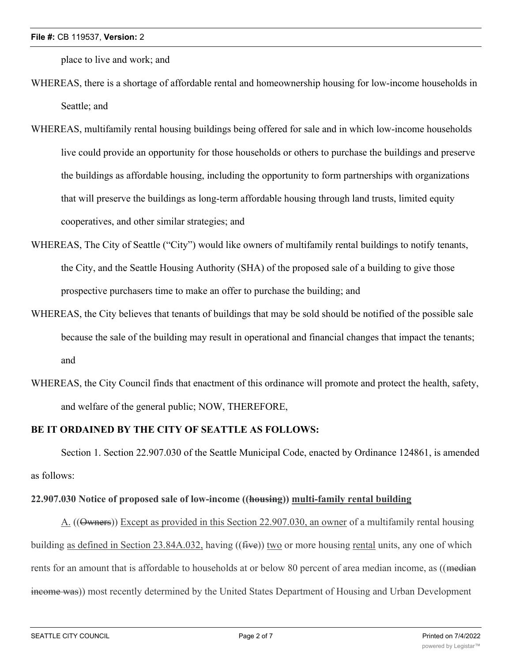place to live and work; and

- WHEREAS, there is a shortage of affordable rental and homeownership housing for low-income households in Seattle; and
- WHEREAS, multifamily rental housing buildings being offered for sale and in which low-income households live could provide an opportunity for those households or others to purchase the buildings and preserve the buildings as affordable housing, including the opportunity to form partnerships with organizations that will preserve the buildings as long-term affordable housing through land trusts, limited equity cooperatives, and other similar strategies; and
- WHEREAS, The City of Seattle ("City") would like owners of multifamily rental buildings to notify tenants, the City, and the Seattle Housing Authority (SHA) of the proposed sale of a building to give those prospective purchasers time to make an offer to purchase the building; and
- WHEREAS, the City believes that tenants of buildings that may be sold should be notified of the possible sale because the sale of the building may result in operational and financial changes that impact the tenants; and
- WHEREAS, the City Council finds that enactment of this ordinance will promote and protect the health, safety, and welfare of the general public; NOW, THEREFORE,

# **BE IT ORDAINED BY THE CITY OF SEATTLE AS FOLLOWS:**

Section 1. Section 22.907.030 of the Seattle Municipal Code, enacted by Ordinance 124861, is amended as follows:

# **22.907.030 Notice of proposed sale of low-income ((housing)) multi-family rental building**

A. ((Owners)) Except as provided in this Section 22.907.030, an owner of a multifamily rental housing building as defined in Section 23.84A.032, having ((five)) two or more housing rental units, any one of which rents for an amount that is affordable to households at or below 80 percent of area median income, as ((median income was)) most recently determined by the United States Department of Housing and Urban Development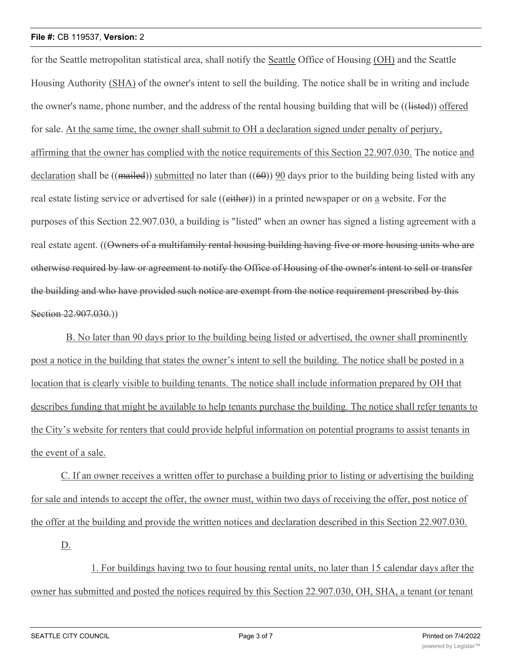#### **File #:** CB 119537, **Version:** 2

for the Seattle metropolitan statistical area, shall notify the Seattle Office of Housing (OH) and the Seattle Housing Authority (SHA) of the owner's intent to sell the building. The notice shall be in writing and include the owner's name, phone number, and the address of the rental housing building that will be ((listed)) offered for sale. At the same time, the owner shall submit to OH a declaration signed under penalty of perjury, affirming that the owner has complied with the notice requirements of this Section 22.907.030. The notice and declaration shall be ((mailed)) submitted no later than  $((60))$  90 days prior to the building being listed with any real estate listing service or advertised for sale ((either)) in a printed newspaper or on a website. For the purposes of this Section 22.907.030, a building is "listed" when an owner has signed a listing agreement with a real estate agent. ((Owners of a multifamily rental housing building having five or more housing units who are otherwise required by law or agreement to notify the Office of Housing of the owner's intent to sell or transfer the building and who have provided such notice are exempt from the notice requirement prescribed by this Section 22.907.030.)

B. No later than 90 days prior to the building being listed or advertised, the owner shall prominently post a notice in the building that states the owner's intent to sell the building. The notice shall be posted in a location that is clearly visible to building tenants. The notice shall include information prepared by OH that describes funding that might be available to help tenants purchase the building. The notice shall refer tenants to the City's website for renters that could provide helpful information on potential programs to assist tenants in the event of a sale.

C. If an owner receives a written offer to purchase a building prior to listing or advertising the building for sale and intends to accept the offer, the owner must, within two days of receiving the offer, post notice of the offer at the building and provide the written notices and declaration described in this Section 22.907.030.

D.

1. For buildings having two to four housing rental units, no later than 15 calendar days after the owner has submitted and posted the notices required by this Section 22.907.030, OH, SHA, a tenant (or tenant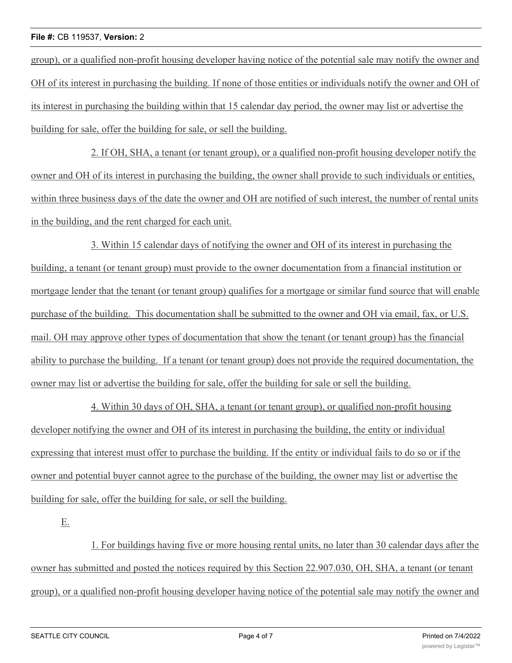#### **File #:** CB 119537, **Version:** 2

group), or a qualified non-profit housing developer having notice of the potential sale may notify the owner and OH of its interest in purchasing the building. If none of those entities or individuals notify the owner and OH of its interest in purchasing the building within that 15 calendar day period, the owner may list or advertise the building for sale, offer the building for sale, or sell the building.

2. If OH, SHA, a tenant (or tenant group), or a qualified non-profit housing developer notify the owner and OH of its interest in purchasing the building, the owner shall provide to such individuals or entities, within three business days of the date the owner and OH are notified of such interest, the number of rental units in the building, and the rent charged for each unit.

3. Within 15 calendar days of notifying the owner and OH of its interest in purchasing the building, a tenant (or tenant group) must provide to the owner documentation from a financial institution or mortgage lender that the tenant (or tenant group) qualifies for a mortgage or similar fund source that will enable purchase of the building. This documentation shall be submitted to the owner and OH via email, fax, or U.S. mail. OH may approve other types of documentation that show the tenant (or tenant group) has the financial ability to purchase the building. If a tenant (or tenant group) does not provide the required documentation, the owner may list or advertise the building for sale, offer the building for sale or sell the building.

4. Within 30 days of OH, SHA, a tenant (or tenant group), or qualified non-profit housing developer notifying the owner and OH of its interest in purchasing the building, the entity or individual expressing that interest must offer to purchase the building. If the entity or individual fails to do so or if the owner and potential buyer cannot agree to the purchase of the building, the owner may list or advertise the building for sale, offer the building for sale, or sell the building.

E.

1. For buildings having five or more housing rental units, no later than 30 calendar days after the owner has submitted and posted the notices required by this Section 22.907.030, OH, SHA, a tenant (or tenant group), or a qualified non-profit housing developer having notice of the potential sale may notify the owner and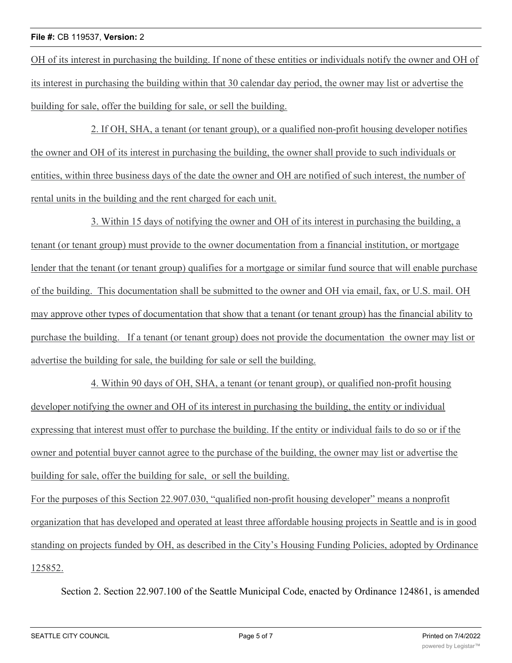OH of its interest in purchasing the building. If none of these entities or individuals notify the owner and OH of its interest in purchasing the building within that 30 calendar day period, the owner may list or advertise the building for sale, offer the building for sale, or sell the building.

2. If OH, SHA, a tenant (or tenant group), or a qualified non-profit housing developer notifies the owner and OH of its interest in purchasing the building, the owner shall provide to such individuals or entities, within three business days of the date the owner and OH are notified of such interest, the number of rental units in the building and the rent charged for each unit.

3. Within 15 days of notifying the owner and OH of its interest in purchasing the building, a tenant (or tenant group) must provide to the owner documentation from a financial institution, or mortgage lender that the tenant (or tenant group) qualifies for a mortgage or similar fund source that will enable purchase of the building. This documentation shall be submitted to the owner and OH via email, fax, or U.S. mail. OH may approve other types of documentation that show that a tenant (or tenant group) has the financial ability to purchase the building. If a tenant (or tenant group) does not provide the documentation the owner may list or advertise the building for sale, the building for sale or sell the building.

4. Within 90 days of OH, SHA, a tenant (or tenant group), or qualified non-profit housing developer notifying the owner and OH of its interest in purchasing the building, the entity or individual expressing that interest must offer to purchase the building. If the entity or individual fails to do so or if the owner and potential buyer cannot agree to the purchase of the building, the owner may list or advertise the building for sale, offer the building for sale, or sell the building.

For the purposes of this Section 22.907.030, "qualified non-profit housing developer" means a nonprofit organization that has developed and operated at least three affordable housing projects in Seattle and is in good standing on projects funded by OH, as described in the City's Housing Funding Policies, adopted by Ordinance 125852.

Section 2. Section 22.907.100 of the Seattle Municipal Code, enacted by Ordinance 124861, is amended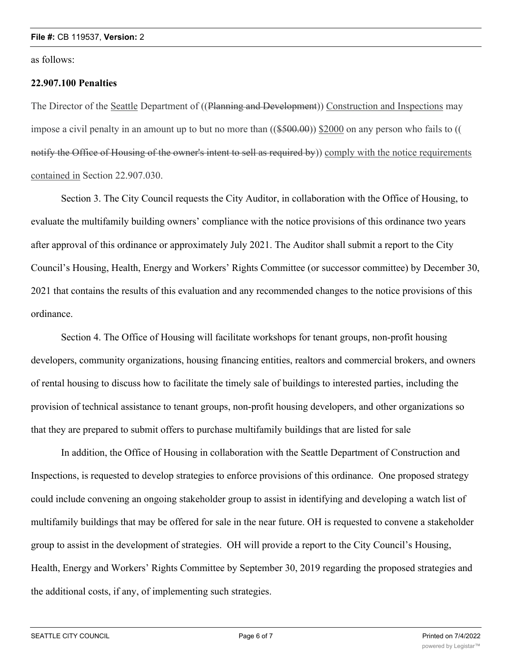as follows:

### **22.907.100 Penalties**

The Director of the Seattle Department of ((Planning and Development)) Construction and Inspections may impose a civil penalty in an amount up to but no more than  $((\$500.00))$  \$2000 on any person who fails to  $(($ notify the Office of Housing of the owner's intent to sell as required by)) comply with the notice requirements contained in Section 22.907.030.

Section 3. The City Council requests the City Auditor, in collaboration with the Office of Housing, to evaluate the multifamily building owners' compliance with the notice provisions of this ordinance two years after approval of this ordinance or approximately July 2021. The Auditor shall submit a report to the City Council's Housing, Health, Energy and Workers' Rights Committee (or successor committee) by December 30, 2021 that contains the results of this evaluation and any recommended changes to the notice provisions of this ordinance.

Section 4. The Office of Housing will facilitate workshops for tenant groups, non-profit housing developers, community organizations, housing financing entities, realtors and commercial brokers, and owners of rental housing to discuss how to facilitate the timely sale of buildings to interested parties, including the provision of technical assistance to tenant groups, non-profit housing developers, and other organizations so that they are prepared to submit offers to purchase multifamily buildings that are listed for sale

In addition, the Office of Housing in collaboration with the Seattle Department of Construction and Inspections, is requested to develop strategies to enforce provisions of this ordinance. One proposed strategy could include convening an ongoing stakeholder group to assist in identifying and developing a watch list of multifamily buildings that may be offered for sale in the near future. OH is requested to convene a stakeholder group to assist in the development of strategies. OH will provide a report to the City Council's Housing, Health, Energy and Workers' Rights Committee by September 30, 2019 regarding the proposed strategies and the additional costs, if any, of implementing such strategies.